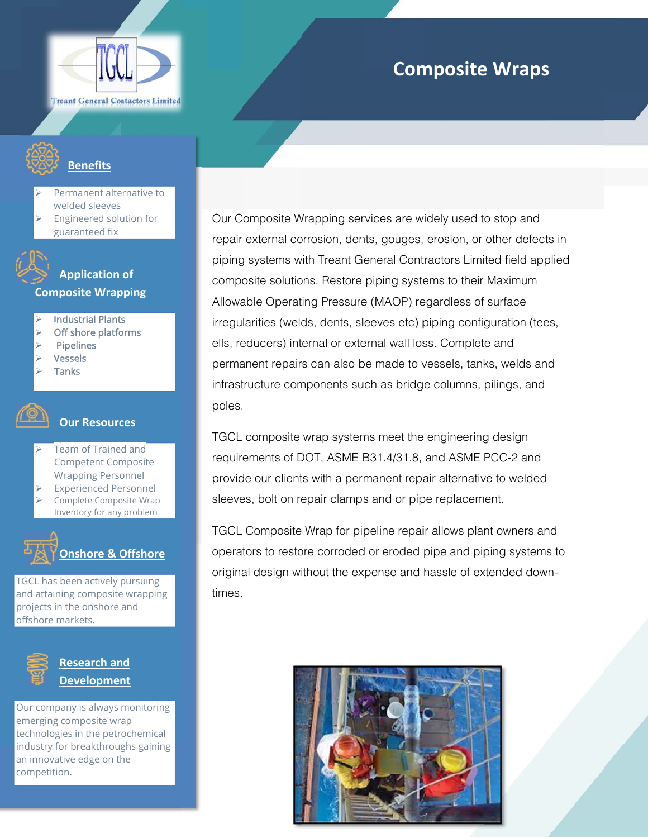

## **Composite Wraps**

#### **Benefits**

- Permanent alternative to welded sleeves
- Engineered solution for guaranteed fix

#### **Application of Composite Wrapping**

- **Industrial Plants**
- Off shore platforms
- **Pipelines**
- **Vessels**
- **Tanks**

#### **Our Resources**

- Team of Trained and **Competent Composite Wrapping Personnel**
- **Experienced Personnel**
- Complete Composite Wrap Inventory for any problem

## Onshore & Offshore

TGCL has been actively pursuing and attaining composite wrapping projects in the onshore and offshore markets.



**Research and** <u>Development</u>

Our company is always monitoring emerging composite wrap technologies in the petrochemical industry for breakthroughs gaining an innovative edge on the competition.

Our Composite Wrapping services are widely used to stop and repair external corrosion, dents, gouges, erosion, or other defects in piping systems with Treant General Contractors Limited field applied composite solutions. Restore piping systems to their Maximum Allowable Operating Pressure (MAOP) regardless of surface irregularities (welds, dents, sleeves etc) piping configuration (tees, ells, reducers) internal or external wall loss. Complete and permanent repairs can also be made to vessels, tanks, welds and infrastructure components such as bridge columns, pilings, and poles.

TGCL composite wrap systems meet the engineering design requirements of DOT, ASME B31.4/31.8, and ASME PCC-2 and provide our clients with a permanent repair alternative to welded sleeves, bolt on repair clamps and or pipe replacement.

TGCL Composite Wrap for pipeline repair allows plant owners and operators to restore corroded or eroded pipe and piping systems to original design without the expense and hassle of extended downtimes.

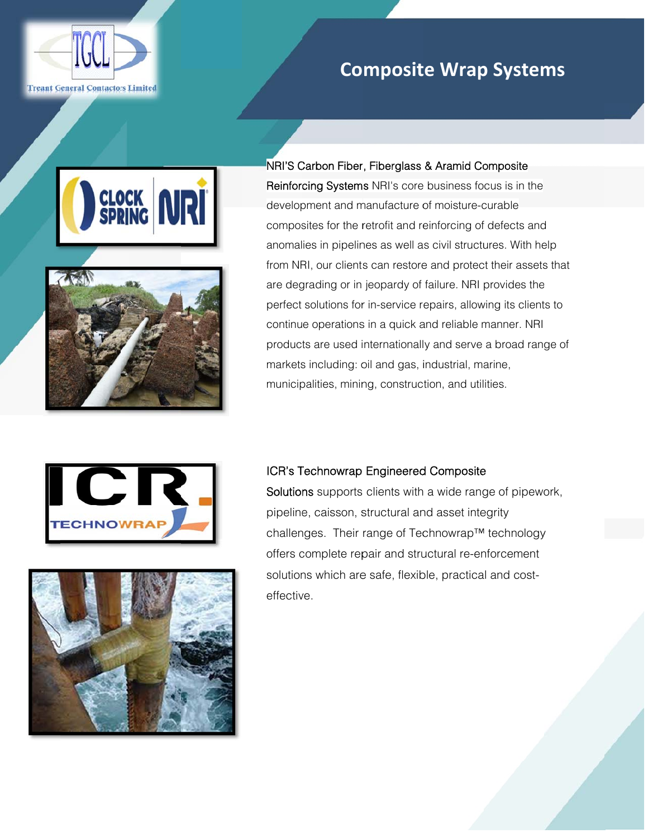

## **Co mposit te Wrap p System**



j



NRI'S Carbon Fiber, Fiberglass & Aramid Composite Reinforcing Systems NRI's core business focus is in the development and manufacture of moisture-curable composites for the retrofit and reinforcing of defects and composites for the retrofit and reinforcing of defects and<br>anomalies in pipelines as well as civil structures. With help from NRI, our clients can restore and protect their assets that are deg grading or in jeopardy of failure. NRI p provides the perfect solutions for in-service repairs, allowing its clients to continue operations in a quick and reliable manner. NRI products are used internationally and serve a broad range of markets including: oil and gas, industrial, marine, municipalities, mining, construction, and utilities. **ms**<br>and welp<br>ts thats to linge of<br>vork,<br>y



# ş i

#### ICR's Technowrap Engineered Composite

Solutions supports clients with a wide range of pipework, pipeline, caisson, structural and asset integrity challenges. Their range of Technowrap™ technology offers complete repair and structural re-enforcement solutions which are safe, flexible, practical and costeffective.